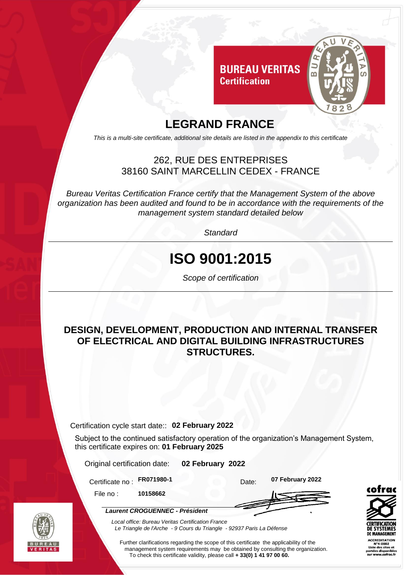

### **LEGRAND FRANCE**

*This is a multi-site certificate, additional site details are listed in the appendix to this certificate*

#### 262, RUE DES ENTREPRISES 38160 SAINT MARCELLIN CEDEX - FRANCE

*Bureau Veritas Certification France certify that the Management System of the above organization has been audited and found to be in accordance with the requirements of the management system standard detailed below*

*Standard*

# **ISO 9001:2015**

*Scope of certification*

#### **DESIGN, DEVELOPMENT, PRODUCTION AND INTERNAL TRANSFER OF ELECTRICAL AND DIGITAL BUILDING INFRASTRUCTURES STRUCTURES.**

Certification cycle start date:: **02 February 2022**

Subject to the continued satisfactory operation of the organization's Management System, this certificate expires on: **01 February 2025**

Original certification date: **02 February 2022**

*Local office: Bureau Veritas Certification France*

Certificate no :

**FR071980-1** Date: **07 February 2022**

File no : **10158662**

*Laurent CROGUENNEC - Président*





*Le Triangle de l'Arche - 9 Cours du Triangle - 92937 Paris La Défense*  Further clarifications regarding the scope of this certificate the applicability of the

management system requirements may be obtained by consulting the organization. To check this certificate validity, please call **+ 33(0) 1 41 97 00 60.**